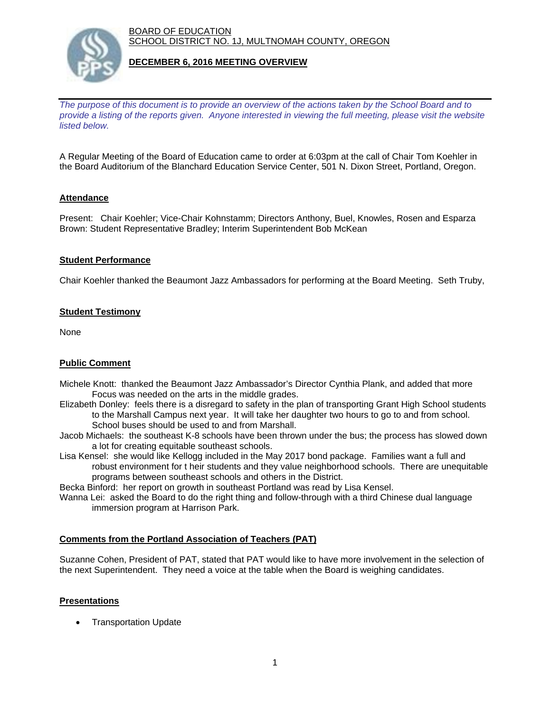BOARD OF EDUCATION SCHOOL DISTRICT NO. 1J, MULTNOMAH COUNTY, OREGON



## **DECEMBER 6, 2016 MEETING OVERVIEW**

*The purpose of this document is to provide an overview of the actions taken by the School Board and to provide a listing of the reports given. Anyone interested in viewing the full meeting, please visit the website listed below.*

A Regular Meeting of the Board of Education came to order at 6:03pm at the call of Chair Tom Koehler in the Board Auditorium of the Blanchard Education Service Center, 501 N. Dixon Street, Portland, Oregon.

## **Attendance**

Present: Chair Koehler; Vice-Chair Kohnstamm; Directors Anthony, Buel, Knowles, Rosen and Esparza Brown: Student Representative Bradley; Interim Superintendent Bob McKean

#### **Student Performance**

Chair Koehler thanked the Beaumont Jazz Ambassadors for performing at the Board Meeting. Seth Truby,

# **Student Testimony**

None

## **Public Comment**

- Michele Knott: thanked the Beaumont Jazz Ambassador's Director Cynthia Plank, and added that more Focus was needed on the arts in the middle grades.
- Elizabeth Donley: feels there is a disregard to safety in the plan of transporting Grant High School students to the Marshall Campus next year. It will take her daughter two hours to go to and from school. School buses should be used to and from Marshall.
- Jacob Michaels: the southeast K-8 schools have been thrown under the bus; the process has slowed down a lot for creating equitable southeast schools.
- Lisa Kensel: she would like Kellogg included in the May 2017 bond package. Families want a full and robust environment for t heir students and they value neighborhood schools. There are unequitable programs between southeast schools and others in the District.
- Becka Binford: her report on growth in southeast Portland was read by Lisa Kensel.
- Wanna Lei: asked the Board to do the right thing and follow-through with a third Chinese dual language immersion program at Harrison Park.

## **Comments from the Portland Association of Teachers (PAT)**

Suzanne Cohen, President of PAT, stated that PAT would like to have more involvement in the selection of the next Superintendent. They need a voice at the table when the Board is weighing candidates.

## **Presentations**

Transportation Update